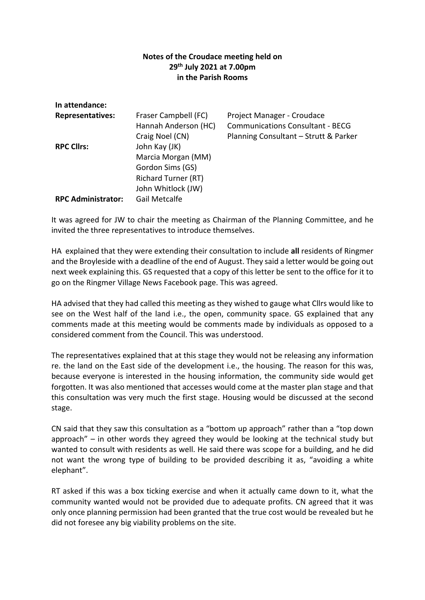## **Notes of the Croudace meeting held on 29 th July 2021 at 7.00pm in the Parish Rooms**

| In attendance:            |                            |                                         |
|---------------------------|----------------------------|-----------------------------------------|
| <b>Representatives:</b>   | Fraser Campbell (FC)       | Project Manager - Croudace              |
|                           | Hannah Anderson (HC)       | <b>Communications Consultant - BECG</b> |
|                           | Craig Noel (CN)            | Planning Consultant - Strutt & Parker   |
| <b>RPC Clirs:</b>         | John Kay (JK)              |                                         |
|                           | Marcia Morgan (MM)         |                                         |
|                           | Gordon Sims (GS)           |                                         |
|                           | <b>Richard Turner (RT)</b> |                                         |
|                           | John Whitlock (JW)         |                                         |
| <b>RPC Administrator:</b> | Gail Metcalfe              |                                         |

It was agreed for JW to chair the meeting as Chairman of the Planning Committee, and he invited the three representatives to introduce themselves.

HA explained that they were extending their consultation to include **all** residents of Ringmer and the Broyleside with a deadline of the end of August. They said a letter would be going out next week explaining this. GS requested that a copy of this letter be sent to the office for it to go on the Ringmer Village News Facebook page. This was agreed.

HA advised that they had called this meeting as they wished to gauge what Cllrs would like to see on the West half of the land i.e., the open, community space. GS explained that any comments made at this meeting would be comments made by individuals as opposed to a considered comment from the Council. This was understood.

The representatives explained that at this stage they would not be releasing any information re. the land on the East side of the development i.e., the housing. The reason for this was, because everyone is interested in the housing information, the community side would get forgotten. It was also mentioned that accesses would come at the master plan stage and that this consultation was very much the first stage. Housing would be discussed at the second stage.

CN said that they saw this consultation as a "bottom up approach" rather than a "top down approach" – in other words they agreed they would be looking at the technical study but wanted to consult with residents as well. He said there was scope for a building, and he did not want the wrong type of building to be provided describing it as, "avoiding a white elephant".

RT asked if this was a box ticking exercise and when it actually came down to it, what the community wanted would not be provided due to adequate profits. CN agreed that it was only once planning permission had been granted that the true cost would be revealed but he did not foresee any big viability problems on the site.